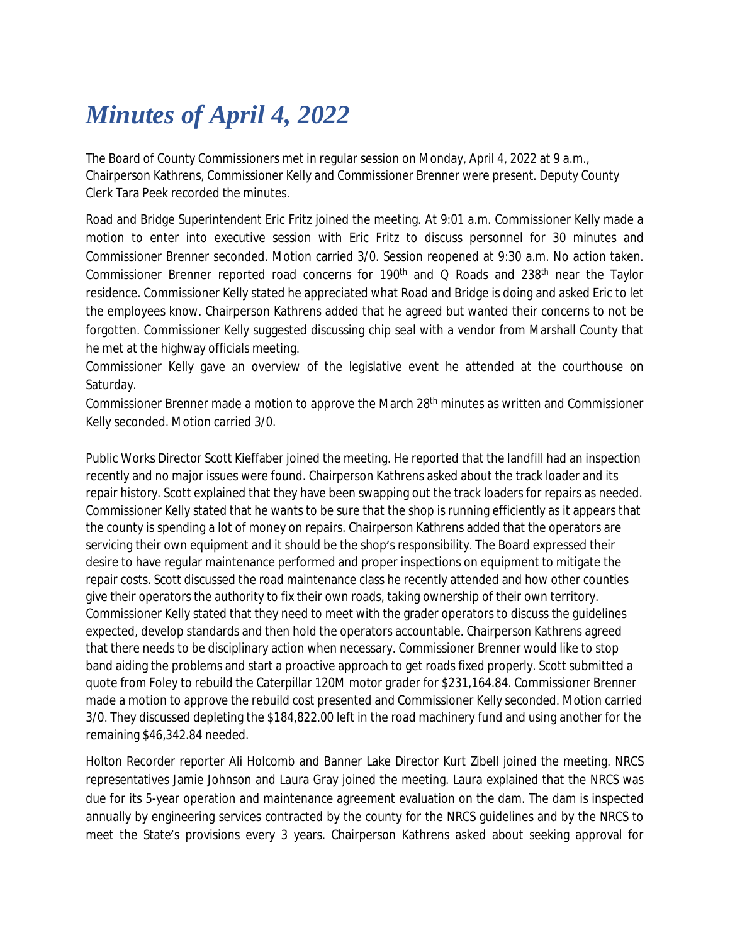## *Minutes of April 4, 2022*

The Board of County Commissioners met in regular session on Monday, April 4, 2022 at 9 a.m., Chairperson Kathrens, Commissioner Kelly and Commissioner Brenner were present. Deputy County Clerk Tara Peek recorded the minutes.

Road and Bridge Superintendent Eric Fritz joined the meeting. At 9:01 a.m. Commissioner Kelly made a motion to enter into executive session with Eric Fritz to discuss personnel for 30 minutes and Commissioner Brenner seconded. Motion carried 3/0. Session reopened at 9:30 a.m. No action taken. Commissioner Brenner reported road concerns for 190<sup>th</sup> and Q Roads and 238<sup>th</sup> near the Taylor residence. Commissioner Kelly stated he appreciated what Road and Bridge is doing and asked Eric to let the employees know. Chairperson Kathrens added that he agreed but wanted their concerns to not be forgotten. Commissioner Kelly suggested discussing chip seal with a vendor from Marshall County that he met at the highway officials meeting.

Commissioner Kelly gave an overview of the legislative event he attended at the courthouse on Saturday.

Commissioner Brenner made a motion to approve the March 28th minutes as written and Commissioner Kelly seconded. Motion carried 3/0.

Public Works Director Scott Kieffaber joined the meeting. He reported that the landfill had an inspection recently and no major issues were found. Chairperson Kathrens asked about the track loader and its repair history. Scott explained that they have been swapping out the track loaders for repairs as needed. Commissioner Kelly stated that he wants to be sure that the shop is running efficiently as it appears that the county is spending a lot of money on repairs. Chairperson Kathrens added that the operators are servicing their own equipment and it should be the shop's responsibility. The Board expressed their desire to have regular maintenance performed and proper inspections on equipment to mitigate the repair costs. Scott discussed the road maintenance class he recently attended and how other counties give their operators the authority to fix their own roads, taking ownership of their own territory. Commissioner Kelly stated that they need to meet with the grader operators to discuss the guidelines expected, develop standards and then hold the operators accountable. Chairperson Kathrens agreed that there needs to be disciplinary action when necessary. Commissioner Brenner would like to stop band aiding the problems and start a proactive approach to get roads fixed properly. Scott submitted a quote from Foley to rebuild the Caterpillar 120M motor grader for \$231,164.84. Commissioner Brenner made a motion to approve the rebuild cost presented and Commissioner Kelly seconded. Motion carried 3/0. They discussed depleting the \$184,822.00 left in the road machinery fund and using another for the remaining \$46,342.84 needed.

Holton Recorder reporter Ali Holcomb and Banner Lake Director Kurt Zibell joined the meeting. NRCS representatives Jamie Johnson and Laura Gray joined the meeting. Laura explained that the NRCS was due for its 5-year operation and maintenance agreement evaluation on the dam. The dam is inspected annually by engineering services contracted by the county for the NRCS guidelines and by the NRCS to meet the State's provisions every 3 years. Chairperson Kathrens asked about seeking approval for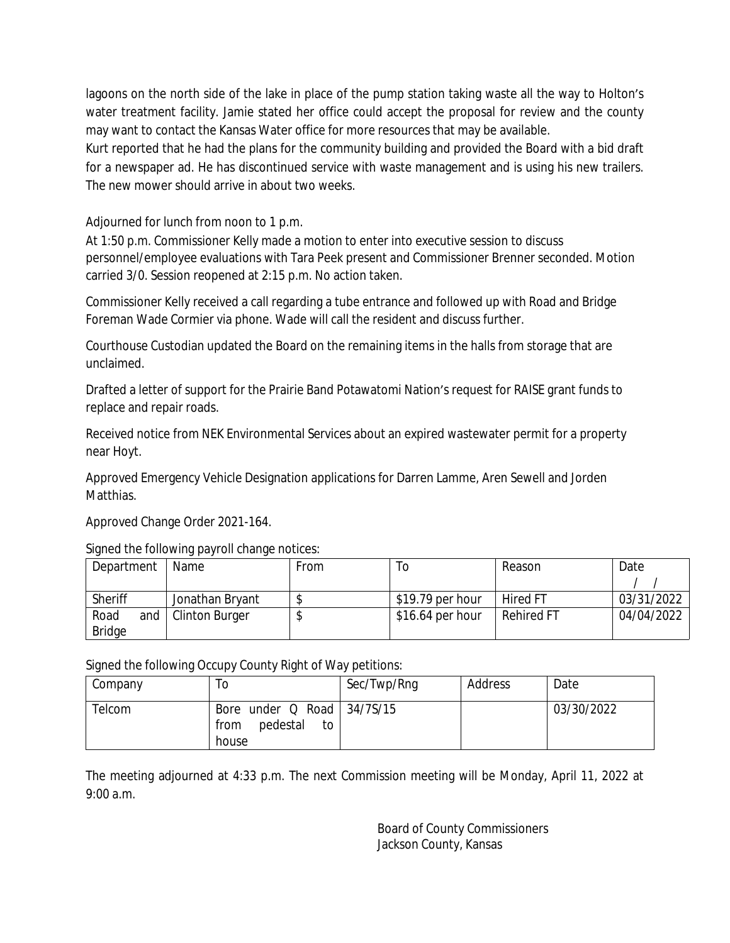lagoons on the north side of the lake in place of the pump station taking waste all the way to Holton's water treatment facility. Jamie stated her office could accept the proposal for review and the county may want to contact the Kansas Water office for more resources that may be available.

Kurt reported that he had the plans for the community building and provided the Board with a bid draft for a newspaper ad. He has discontinued service with waste management and is using his new trailers. The new mower should arrive in about two weeks.

Adjourned for lunch from noon to 1 p.m.

At 1:50 p.m. Commissioner Kelly made a motion to enter into executive session to discuss personnel/employee evaluations with Tara Peek present and Commissioner Brenner seconded. Motion carried 3/0. Session reopened at 2:15 p.m. No action taken.

Commissioner Kelly received a call regarding a tube entrance and followed up with Road and Bridge Foreman Wade Cormier via phone. Wade will call the resident and discuss further.

Courthouse Custodian updated the Board on the remaining items in the halls from storage that are unclaimed.

Drafted a letter of support for the Prairie Band Potawatomi Nation's request for RAISE grant funds to replace and repair roads.

Received notice from NEK Environmental Services about an expired wastewater permit for a property near Hoyt.

Approved Emergency Vehicle Designation applications for Darren Lamme, Aren Sewell and Jorden Matthias.

Approved Change Order 2021-164.

Signed the following payroll change notices:

| Department    | Name            | From | 0                 | Reason            | Date       |
|---------------|-----------------|------|-------------------|-------------------|------------|
|               |                 |      |                   |                   |            |
| Sheriff       | Jonathan Bryant |      | $$19.79$ per hour | <b>Hired FT</b>   | 03/31/2022 |
| Road<br>and   | Clinton Burger  |      | $$16.64$ per hour | <b>Rehired FT</b> | 04/04/2022 |
| <b>Bridge</b> |                 |      |                   |                   |            |

Signed the following Occupy County Right of Way petitions:

| Company | l O                                                                | Sec/Twp/Rng | Address | Date       |
|---------|--------------------------------------------------------------------|-------------|---------|------------|
| Telcom  | Bore under $Q$ Road $ 34/7S/15$<br>pedestal<br>from<br>to<br>house |             |         | 03/30/2022 |

The meeting adjourned at 4:33 p.m. The next Commission meeting will be Monday, April 11, 2022 at 9:00 a.m.

> Board of County Commissioners Jackson County, Kansas